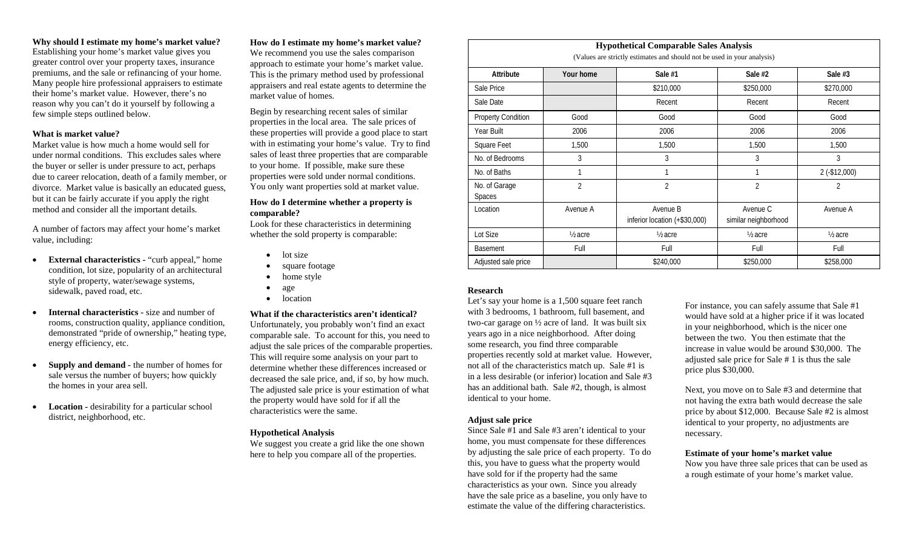**Why should I estimate my home's market value?** Establishing your home's market value gives you greater control over your property taxes, insurance premiums, and the sale or refinancing of your home. Many people hire professional appraisers to estimate their home's market value. However, there's no reason why you can't do it yourself by following a few simple steps outlined below.

#### **What is market value?**

Market value is how much a home would sell for under normal conditions. This excludes sales where the buyer or seller is under pressure to act, perhaps due to career relocation, death of a family member, or divorce. Market value is basically an educated guess, but it can be fairly accurate if you apply the right method and consider all the important details.

A number of factors may affect your home's market value, including:

- **External characteristics -** "curb appeal," home condition, lot size, popularity of an architectural style of property, water/sewage systems, sidewalk, paved road, etc.
- **Internal characteristics -** size and number of rooms, construction quality, appliance condition, demonstrated "pride of ownership," heating type, energy efficiency, etc.
- **Supply and demand -** the number of homes for sale versus the number of buyers; how quickly the homes in your area sell.
- **Location -** desirability for a particular school district, neighborhood, etc.

## **How do I estimate my home's market value?** We recommend you use the sales comparison approach to estimate your home's market value. This is the primary method used by professional appraisers and real estate agents to determine the market value of homes.

Begin by researching recent sales of similar properties in the local area. The sale prices of these properties will provide a good place to start with in estimating your home's value. Try to find sales of least three properties that are comparable to your home. If possible, make sure these properties were sold under normal conditions. You only want properties sold at market value.

#### **How do I determine whether a property is comparable?**

Look for these characteristics in determining whether the sold property is comparable:

- lot size
- square footage
- home style
- age
- location

#### **What if the characteristics aren't identical?**

Unfortunately, you probably won't find an exact comparable sale. To account for this, you need to adjust the sale prices of the comparable properties. This will require some analysis on your part to determine whether these differences increased or decreased the sale price, and, if so, by how much. The adjusted sale price is your estimation of what the property would have sold for if all the characteristics were the same.

#### **Hypothetical Analysis**

We suggest you create a grid like the one shown here to help you compare all of the properties.

| <b>Hypothetical Comparable Sales Analysis</b><br>(Values are strictly estimates and should not be used in your analysis) |                    |                                           |                                  |                    |
|--------------------------------------------------------------------------------------------------------------------------|--------------------|-------------------------------------------|----------------------------------|--------------------|
| Attribute                                                                                                                | Your home          | Sale #1                                   | Sale #2                          | Sale #3            |
| Sale Price                                                                                                               |                    | \$210,000                                 | \$250,000                        | \$270,000          |
| Sale Date                                                                                                                |                    | Recent                                    | Recent                           | Recent             |
| <b>Property Condition</b>                                                                                                | Good               | Good                                      | Good                             | Good               |
| Year Built                                                                                                               | 2006               | 2006                                      | 2006                             | 2006               |
| Square Feet                                                                                                              | 1,500              | 1,500                                     | 1,500                            | 1,500              |
| No. of Bedrooms                                                                                                          | 3                  | 3                                         | 3                                | 3                  |
| No. of Baths                                                                                                             |                    |                                           |                                  | $2$ (-\$12,000)    |
| No. of Garage<br><b>Spaces</b>                                                                                           | $\overline{2}$     | $\overline{2}$                            | $\overline{2}$                   | $\overline{2}$     |
| Location                                                                                                                 | Avenue A           | Avenue B<br>inferior location (+\$30,000) | Avenue C<br>similar neighborhood | Avenue A           |
| Lot Size                                                                                                                 | $\frac{1}{2}$ acre | $\frac{1}{2}$ acre                        | $\frac{1}{2}$ acre               | $\frac{1}{2}$ acre |
| <b>Basement</b>                                                                                                          | Full               | Full                                      | Full                             | Full               |
| Adjusted sale price                                                                                                      |                    | \$240,000                                 | \$250,000                        | \$258,000          |

### **Research**

Let's say your home is a 1,500 square feet ranch with 3 bedrooms, 1 bathroom, full basement, and two-car garage on ½ acre of land. It was built six years ago in a nice neighborhood. After doing some research, you find three comparable properties recently sold at market value. However, not all of the characteristics match up. Sale #1 is in a less desirable (or inferior) location and Sale #3 has an additional bath. Sale #2, though, is almost identical to your home.

#### **Adjust sale price**

Since Sale #1 and Sale #3 aren't identical to your home, you must compensate for these differences by adjusting the sale price of each property. To do this, you have to guess what the property would have sold for if the property had the same characteristics as your own. Since you already have the sale price as a baseline, you only have to estimate the value of the differing characteristics.

For instance, you can safely assume that Sale #1 would have sold at a higher price if it was located in your neighborhood, which is the nicer one between the two. You then estimate that the increase in value would be around \$30,000. The adjusted sale price for Sale # 1 is thus the sale price plus \$30,000.

Next, you move on to Sale #3 and determine that not having the extra bath would decrease the sale price by about \$12,000. Because Sale #2 is almost identical to your property, no adjustments are necessary.

#### **Estimate of your home's market value**

Now you have three sale prices that can be used as a rough estimate of your home's market value.